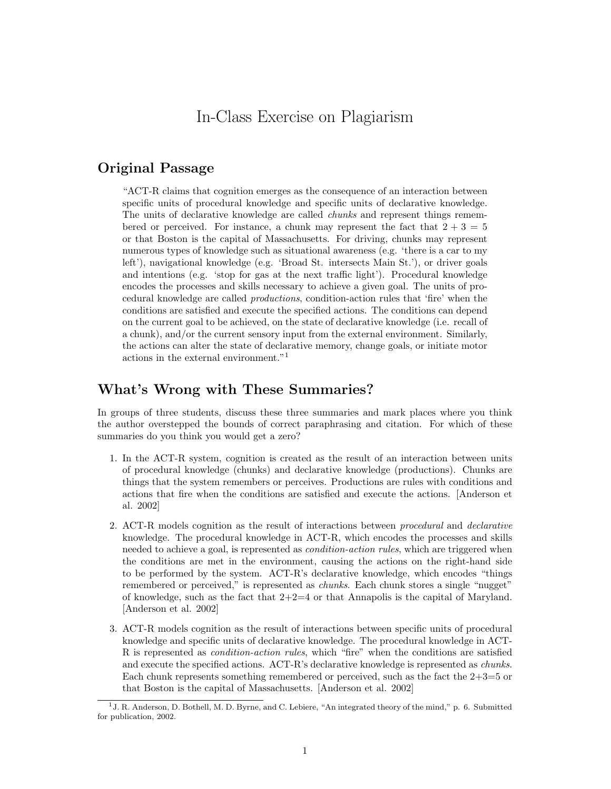## In-Class Exercise on Plagiarism

## Original Passage

"ACT-R claims that cognition emerges as the consequence of an interaction between specific units of procedural knowledge and specific units of declarative knowledge. The units of declarative knowledge are called chunks and represent things remembered or perceived. For instance, a chunk may represent the fact that  $2 + 3 = 5$ or that Boston is the capital of Massachusetts. For driving, chunks may represent numerous types of knowledge such as situational awareness (e.g. 'there is a car to my left'), navigational knowledge (e.g. 'Broad St. intersects Main St.'), or driver goals and intentions (e.g. 'stop for gas at the next traffic light'). Procedural knowledge encodes the processes and skills necessary to achieve a given goal. The units of procedural knowledge are called productions, condition-action rules that 'fire' when the conditions are satisfied and execute the specified actions. The conditions can depend on the current goal to be achieved, on the state of declarative knowledge (i.e. recall of a chunk), and/or the current sensory input from the external environment. Similarly, the actions can alter the state of declarative memory, change goals, or initiate motor actions in the external environment."<sup>1</sup>

## What's Wrong with These Summaries?

In groups of three students, discuss these three summaries and mark places where you think the author overstepped the bounds of correct paraphrasing and citation. For which of these summaries do you think you would get a zero?

- 1. In the ACT-R system, cognition is created as the result of an interaction between units of procedural knowledge (chunks) and declarative knowledge (productions). Chunks are things that the system remembers or perceives. Productions are rules with conditions and actions that fire when the conditions are satisfied and execute the actions. [Anderson et al. 2002]
- 2. ACT-R models cognition as the result of interactions between procedural and declarative knowledge. The procedural knowledge in ACT-R, which encodes the processes and skills needed to achieve a goal, is represented as *condition-action rules*, which are triggered when the conditions are met in the environment, causing the actions on the right-hand side to be performed by the system. ACT-R's declarative knowledge, which encodes "things remembered or perceived," is represented as *chunks*. Each chunk stores a single "nugget" of knowledge, such as the fact that  $2+2=4$  or that Annapolis is the capital of Maryland. [Anderson et al. 2002]
- 3. ACT-R models cognition as the result of interactions between specific units of procedural knowledge and specific units of declarative knowledge. The procedural knowledge in ACT-R is represented as condition-action rules, which "fire" when the conditions are satisfied and execute the specified actions. ACT-R's declarative knowledge is represented as chunks. Each chunk represents something remembered or perceived, such as the fact the  $2+3=5$  or that Boston is the capital of Massachusetts. [Anderson et al. 2002]

<sup>&</sup>lt;sup>1</sup> J. R. Anderson, D. Bothell, M. D. Byrne, and C. Lebiere, "An integrated theory of the mind," p. 6. Submitted for publication, 2002.